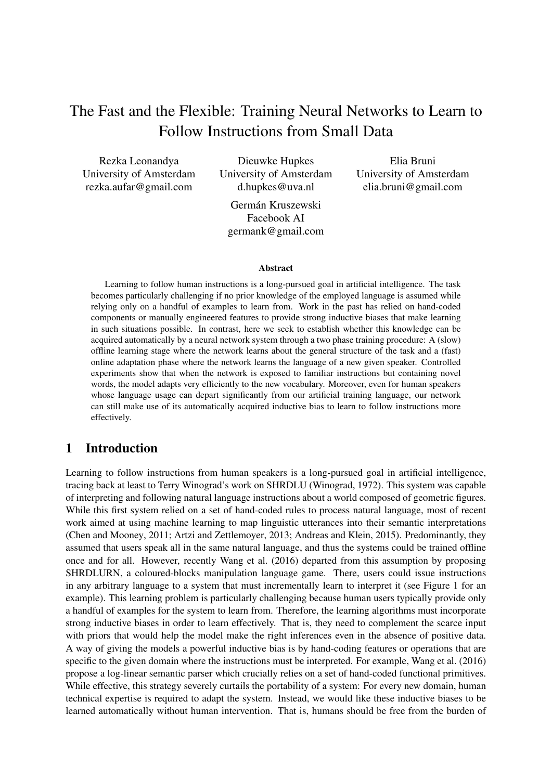# The Fast and the Flexible: Training Neural Networks to Learn to Follow Instructions from Small Data

Rezka Leonandya University of Amsterdam rezka.aufar@gmail.com

Dieuwke Hupkes University of Amsterdam d.hupkes@uva.nl

Elia Bruni University of Amsterdam elia.bruni@gmail.com

Germán Kruszewski Facebook AI germank@gmail.com

#### Abstract

Learning to follow human instructions is a long-pursued goal in artificial intelligence. The task becomes particularly challenging if no prior knowledge of the employed language is assumed while relying only on a handful of examples to learn from. Work in the past has relied on hand-coded components or manually engineered features to provide strong inductive biases that make learning in such situations possible. In contrast, here we seek to establish whether this knowledge can be acquired automatically by a neural network system through a two phase training procedure: A (slow) offline learning stage where the network learns about the general structure of the task and a (fast) online adaptation phase where the network learns the language of a new given speaker. Controlled experiments show that when the network is exposed to familiar instructions but containing novel words, the model adapts very efficiently to the new vocabulary. Moreover, even for human speakers whose language usage can depart significantly from our artificial training language, our network can still make use of its automatically acquired inductive bias to learn to follow instructions more effectively.

## 1 Introduction

Learning to follow instructions from human speakers is a long-pursued goal in artificial intelligence, tracing back at least to Terry Winograd's work on SHRDLU (Winograd, 1972). This system was capable of interpreting and following natural language instructions about a world composed of geometric figures. While this first system relied on a set of hand-coded rules to process natural language, most of recent work aimed at using machine learning to map linguistic utterances into their semantic interpretations (Chen and Mooney, 2011; Artzi and Zettlemoyer, 2013; Andreas and Klein, 2015). Predominantly, they assumed that users speak all in the same natural language, and thus the systems could be trained offline once and for all. However, recently Wang et al. (2016) departed from this assumption by proposing SHRDLURN, a coloured-blocks manipulation language game. There, users could issue instructions in any arbitrary language to a system that must incrementally learn to interpret it (see Figure 1 for an example). This learning problem is particularly challenging because human users typically provide only a handful of examples for the system to learn from. Therefore, the learning algorithms must incorporate strong inductive biases in order to learn effectively. That is, they need to complement the scarce input with priors that would help the model make the right inferences even in the absence of positive data. A way of giving the models a powerful inductive bias is by hand-coding features or operations that are specific to the given domain where the instructions must be interpreted. For example, Wang et al. (2016) propose a log-linear semantic parser which crucially relies on a set of hand-coded functional primitives. While effective, this strategy severely curtails the portability of a system: For every new domain, human technical expertise is required to adapt the system. Instead, we would like these inductive biases to be learned automatically without human intervention. That is, humans should be free from the burden of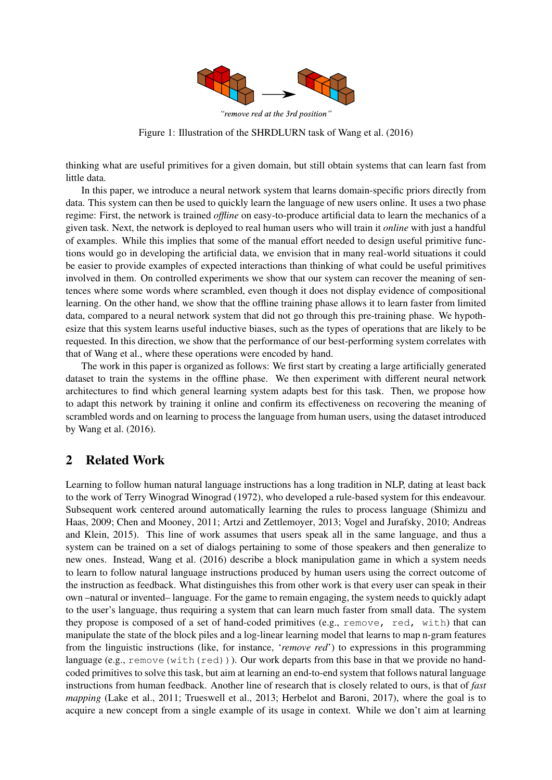

"remove red at the 3rd position"

Figure 1: Illustration of the SHRDLURN task of Wang et al. (2016)

thinking what are useful primitives for a given domain, but still obtain systems that can learn fast from little data.

In this paper, we introduce a neural network system that learns domain-specific priors directly from data. This system can then be used to quickly learn the language of new users online. It uses a two phase regime: First, the network is trained *offline* on easy-to-produce artificial data to learn the mechanics of a given task. Next, the network is deployed to real human users who will train it *online* with just a handful of examples. While this implies that some of the manual effort needed to design useful primitive functions would go in developing the artificial data, we envision that in many real-world situations it could be easier to provide examples of expected interactions than thinking of what could be useful primitives involved in them. On controlled experiments we show that our system can recover the meaning of sentences where some words where scrambled, even though it does not display evidence of compositional learning. On the other hand, we show that the offline training phase allows it to learn faster from limited data, compared to a neural network system that did not go through this pre-training phase. We hypothesize that this system learns useful inductive biases, such as the types of operations that are likely to be requested. In this direction, we show that the performance of our best-performing system correlates with that of Wang et al., where these operations were encoded by hand.

The work in this paper is organized as follows: We first start by creating a large artificially generated dataset to train the systems in the offline phase. We then experiment with different neural network architectures to find which general learning system adapts best for this task. Then, we propose how to adapt this network by training it online and confirm its effectiveness on recovering the meaning of scrambled words and on learning to process the language from human users, using the dataset introduced by Wang et al. (2016).

## 2 Related Work

Learning to follow human natural language instructions has a long tradition in NLP, dating at least back to the work of Terry Winograd Winograd (1972), who developed a rule-based system for this endeavour. Subsequent work centered around automatically learning the rules to process language (Shimizu and Haas, 2009; Chen and Mooney, 2011; Artzi and Zettlemoyer, 2013; Vogel and Jurafsky, 2010; Andreas and Klein, 2015). This line of work assumes that users speak all in the same language, and thus a system can be trained on a set of dialogs pertaining to some of those speakers and then generalize to new ones. Instead, Wang et al. (2016) describe a block manipulation game in which a system needs to learn to follow natural language instructions produced by human users using the correct outcome of the instruction as feedback. What distinguishes this from other work is that every user can speak in their own –natural or invented– language. For the game to remain engaging, the system needs to quickly adapt to the user's language, thus requiring a system that can learn much faster from small data. The system they propose is composed of a set of hand-coded primitives (e.g., remove, red, with) that can manipulate the state of the block piles and a log-linear learning model that learns to map n-gram features from the linguistic instructions (like, for instance, '*remove red*') to expressions in this programming language (e.g., remove (with (red))). Our work departs from this base in that we provide no handcoded primitives to solve this task, but aim at learning an end-to-end system that follows natural language instructions from human feedback. Another line of research that is closely related to ours, is that of *fast mapping* (Lake et al., 2011; Trueswell et al., 2013; Herbelot and Baroni, 2017), where the goal is to acquire a new concept from a single example of its usage in context. While we don't aim at learning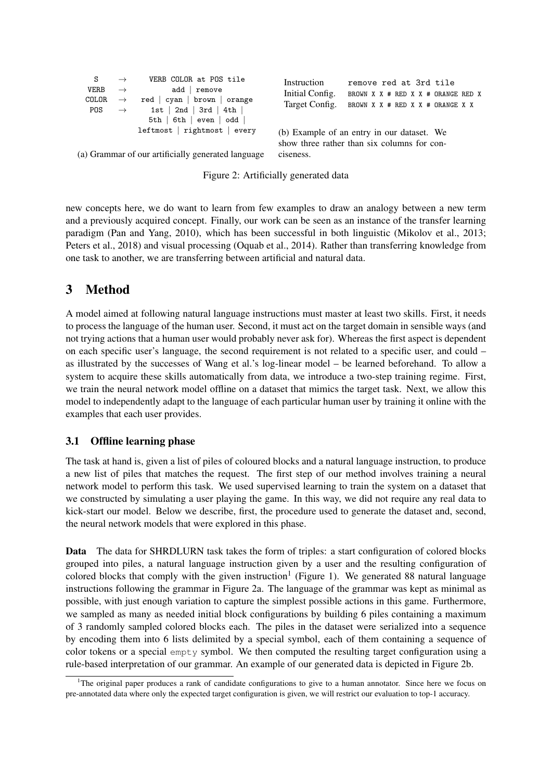| S                                                            |                                                 | VERB COLOR at POS tile                                                  | Instruction                                                                               | remove red at 3rd tile                                                 |  |  |  |
|--------------------------------------------------------------|-------------------------------------------------|-------------------------------------------------------------------------|-------------------------------------------------------------------------------------------|------------------------------------------------------------------------|--|--|--|
| <b>VERB</b><br>COLOR<br>POS                                  | $\rightarrow$<br>$\rightarrow$<br>$\rightarrow$ | add<br>remove<br>red   cyan   brown   orange<br>$1st$   2nd   3rd   4th | Initial Config.<br>Target Config.                                                         | BROWN X X # RED X X # ORANGE RED X<br>BROWN X X # RED X X # ORANGE X X |  |  |  |
| $5th$   6th   even   odd  <br>$leftmost$   rightmost   every |                                                 |                                                                         | (b) Example of an entry in our dataset. We<br>show three rather than six columns for con- |                                                                        |  |  |  |
| (a) Grammar of our artificially generated language           |                                                 | ciseness.                                                               |                                                                                           |                                                                        |  |  |  |

|  |  | Figure 2: Artificially generated data |  |  |
|--|--|---------------------------------------|--|--|
|--|--|---------------------------------------|--|--|

new concepts here, we do want to learn from few examples to draw an analogy between a new term and a previously acquired concept. Finally, our work can be seen as an instance of the transfer learning paradigm (Pan and Yang, 2010), which has been successful in both linguistic (Mikolov et al., 2013; Peters et al., 2018) and visual processing (Oquab et al., 2014). Rather than transferring knowledge from one task to another, we are transferring between artificial and natural data.

## 3 Method

A model aimed at following natural language instructions must master at least two skills. First, it needs to process the language of the human user. Second, it must act on the target domain in sensible ways (and not trying actions that a human user would probably never ask for). Whereas the first aspect is dependent on each specific user's language, the second requirement is not related to a specific user, and could – as illustrated by the successes of Wang et al.'s log-linear model – be learned beforehand. To allow a system to acquire these skills automatically from data, we introduce a two-step training regime. First, we train the neural network model offline on a dataset that mimics the target task. Next, we allow this model to independently adapt to the language of each particular human user by training it online with the examples that each user provides.

## 3.1 Offline learning phase

The task at hand is, given a list of piles of coloured blocks and a natural language instruction, to produce a new list of piles that matches the request. The first step of our method involves training a neural network model to perform this task. We used supervised learning to train the system on a dataset that we constructed by simulating a user playing the game. In this way, we did not require any real data to kick-start our model. Below we describe, first, the procedure used to generate the dataset and, second, the neural network models that were explored in this phase.

Data The data for SHRDLURN task takes the form of triples: a start configuration of colored blocks grouped into piles, a natural language instruction given by a user and the resulting configuration of colored blocks that comply with the given instruction<sup>1</sup> (Figure 1). We generated 88 natural language instructions following the grammar in Figure 2a. The language of the grammar was kept as minimal as possible, with just enough variation to capture the simplest possible actions in this game. Furthermore, we sampled as many as needed initial block configurations by building 6 piles containing a maximum of 3 randomly sampled colored blocks each. The piles in the dataset were serialized into a sequence by encoding them into 6 lists delimited by a special symbol, each of them containing a sequence of color tokens or a special empty symbol. We then computed the resulting target configuration using a rule-based interpretation of our grammar. An example of our generated data is depicted in Figure 2b.

<sup>&</sup>lt;sup>1</sup>The original paper produces a rank of candidate configurations to give to a human annotator. Since here we focus on pre-annotated data where only the expected target configuration is given, we will restrict our evaluation to top-1 accuracy.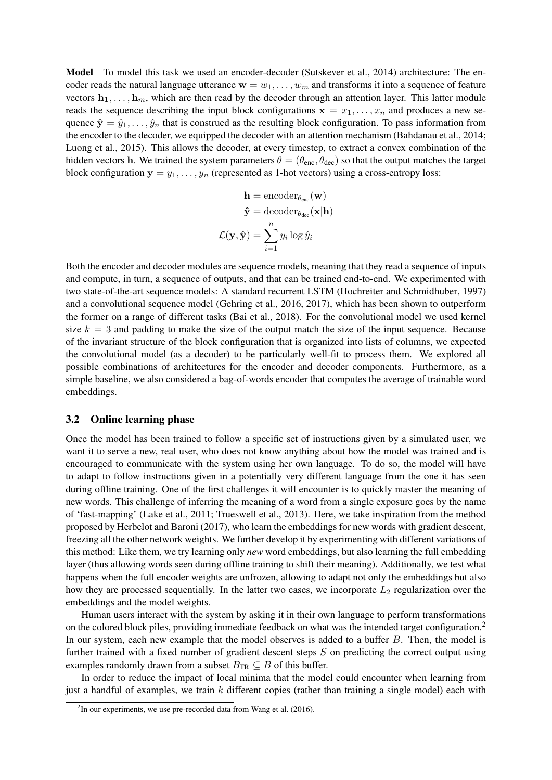Model To model this task we used an encoder-decoder (Sutskever et al., 2014) architecture: The encoder reads the natural language utterance  $w = w_1, \ldots, w_m$  and transforms it into a sequence of feature vectors  $\mathbf{h}_1, \ldots, \mathbf{h}_m$ , which are then read by the decoder through an attention layer. This latter module reads the sequence describing the input block configurations  $x = x_1, \ldots, x_n$  and produces a new sequence  $\hat{\mathbf{y}} = \hat{y}_1, \dots, \hat{y}_n$  that is construed as the resulting block configuration. To pass information from the encoder to the decoder, we equipped the decoder with an attention mechanism (Bahdanau et al., 2014; Luong et al., 2015). This allows the decoder, at every timestep, to extract a convex combination of the hidden vectors h. We trained the system parameters  $\theta = (\theta_{\text{enc}}, \theta_{\text{dec}})$  so that the output matches the target block configuration  $y = y_1, \ldots, y_n$  (represented as 1-hot vectors) using a cross-entropy loss:

$$
\mathbf{h} = \text{encoder}_{\theta_{\text{enc}}}(\mathbf{w})
$$

$$
\hat{\mathbf{y}} = \text{decoder}_{\theta_{\text{dec}}}(\mathbf{x}|\mathbf{h})
$$

$$
\mathcal{L}(\mathbf{y}, \hat{\mathbf{y}}) = \sum_{i=1}^{n} y_i \log \hat{y}_i
$$

Both the encoder and decoder modules are sequence models, meaning that they read a sequence of inputs and compute, in turn, a sequence of outputs, and that can be trained end-to-end. We experimented with two state-of-the-art sequence models: A standard recurrent LSTM (Hochreiter and Schmidhuber, 1997) and a convolutional sequence model (Gehring et al., 2016, 2017), which has been shown to outperform the former on a range of different tasks (Bai et al., 2018). For the convolutional model we used kernel size  $k = 3$  and padding to make the size of the output match the size of the input sequence. Because of the invariant structure of the block configuration that is organized into lists of columns, we expected the convolutional model (as a decoder) to be particularly well-fit to process them. We explored all possible combinations of architectures for the encoder and decoder components. Furthermore, as a simple baseline, we also considered a bag-of-words encoder that computes the average of trainable word embeddings.

### 3.2 Online learning phase

Once the model has been trained to follow a specific set of instructions given by a simulated user, we want it to serve a new, real user, who does not know anything about how the model was trained and is encouraged to communicate with the system using her own language. To do so, the model will have to adapt to follow instructions given in a potentially very different language from the one it has seen during offline training. One of the first challenges it will encounter is to quickly master the meaning of new words. This challenge of inferring the meaning of a word from a single exposure goes by the name of 'fast-mapping' (Lake et al., 2011; Trueswell et al., 2013). Here, we take inspiration from the method proposed by Herbelot and Baroni (2017), who learn the embeddings for new words with gradient descent, freezing all the other network weights. We further develop it by experimenting with different variations of this method: Like them, we try learning only *new* word embeddings, but also learning the full embedding layer (thus allowing words seen during offline training to shift their meaning). Additionally, we test what happens when the full encoder weights are unfrozen, allowing to adapt not only the embeddings but also how they are processed sequentially. In the latter two cases, we incorporate  $L_2$  regularization over the embeddings and the model weights.

Human users interact with the system by asking it in their own language to perform transformations on the colored block piles, providing immediate feedback on what was the intended target configuration.<sup>2</sup> In our system, each new example that the model observes is added to a buffer  $B$ . Then, the model is further trained with a fixed number of gradient descent steps S on predicting the correct output using examples randomly drawn from a subset  $B_{TR} \subseteq B$  of this buffer.

In order to reduce the impact of local minima that the model could encounter when learning from just a handful of examples, we train  $k$  different copies (rather than training a single model) each with

 $2$ In our experiments, we use pre-recorded data from Wang et al. (2016).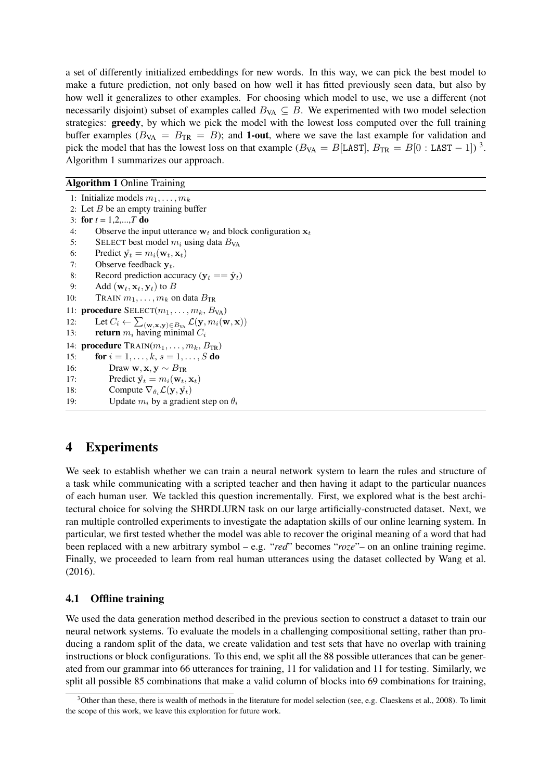a set of differently initialized embeddings for new words. In this way, we can pick the best model to make a future prediction, not only based on how well it has fitted previously seen data, but also by how well it generalizes to other examples. For choosing which model to use, we use a different (not necessarily disjoint) subset of examples called  $B_{VA} \subseteq B$ . We experimented with two model selection strategies: greedy, by which we pick the model with the lowest loss computed over the full training buffer examples ( $B_{VA} = B_{TR} = B$ ); and **1-out**, where we save the last example for validation and pick the model that has the lowest loss on that example ( $B_{VA} = B[LAST]$ ,  $B_{TR} = B[0 : LAST - 1])$ <sup>3</sup>. Algorithm 1 summarizes our approach.

### Algorithm 1 Online Training

1: Initialize models  $m_1, \ldots, m_k$ 2: Let  $B$  be an empty training buffer 3: for  $t = 1, 2, ..., T$  do 4: Observe the input utterance  $w_t$  and block configuration  $x_t$ 5: SELECT best model  $m_i$  using data  $B_{VA}$ 6: Predict  $\hat{\mathbf{y}}_t = m_i(\mathbf{w}_t, \mathbf{x}_t)$ 7: Observe feedback  $y_t$ . 8: Record prediction accuracy  $(y_t == \hat{y}_t)$ 9: Add  $(\mathbf{w}_t, \mathbf{x}_t, \mathbf{y}_t)$  to  $B$ 10: TRAIN  $m_1, \ldots, m_k$  on data  $B_{TR}$ 11: **procedure**  $SELECT(m_1, \ldots, m_k, B_{VA})$ 12: Let  $C_i \leftarrow \sum_{(\mathbf{w},\mathbf{x},\mathbf{y}) \in B_{\text{VA}}} \mathcal{L}(\mathbf{y}, m_i(\mathbf{w}, \mathbf{x}))$ 13: **return**  $m_i$  having minimal  $C_i$ 14: **procedure**  $\text{TRAIN}(m_1, \ldots, m_k, B_{TR})$ 15: **for**  $i = 1, ..., k, s = 1, ..., S$  **do** 16: Draw w,  $\mathbf{x}, \mathbf{y} \sim B_{TR}$ 17: Predict  $\hat{\mathbf{y}}_t = m_i(\mathbf{w}_t, \mathbf{x}_t)$ 18: Compute  $\nabla_{\theta_i} \mathcal{L}(\mathbf{y}, \hat{\mathbf{y}_t})$ 19: Update  $m_i$  by a gradient step on  $\theta_i$ 

## 4 Experiments

We seek to establish whether we can train a neural network system to learn the rules and structure of a task while communicating with a scripted teacher and then having it adapt to the particular nuances of each human user. We tackled this question incrementally. First, we explored what is the best architectural choice for solving the SHRDLURN task on our large artificially-constructed dataset. Next, we ran multiple controlled experiments to investigate the adaptation skills of our online learning system. In particular, we first tested whether the model was able to recover the original meaning of a word that had been replaced with a new arbitrary symbol – e.g. "*red*" becomes "*roze*"– on an online training regime. Finally, we proceeded to learn from real human utterances using the dataset collected by Wang et al. (2016).

### 4.1 Offline training

We used the data generation method described in the previous section to construct a dataset to train our neural network systems. To evaluate the models in a challenging compositional setting, rather than producing a random split of the data, we create validation and test sets that have no overlap with training instructions or block configurations. To this end, we split all the 88 possible utterances that can be generated from our grammar into 66 utterances for training, 11 for validation and 11 for testing. Similarly, we split all possible 85 combinations that make a valid column of blocks into 69 combinations for training,

 $3$ Other than these, there is wealth of methods in the literature for model selection (see, e.g. Claeskens et al., 2008). To limit the scope of this work, we leave this exploration for future work.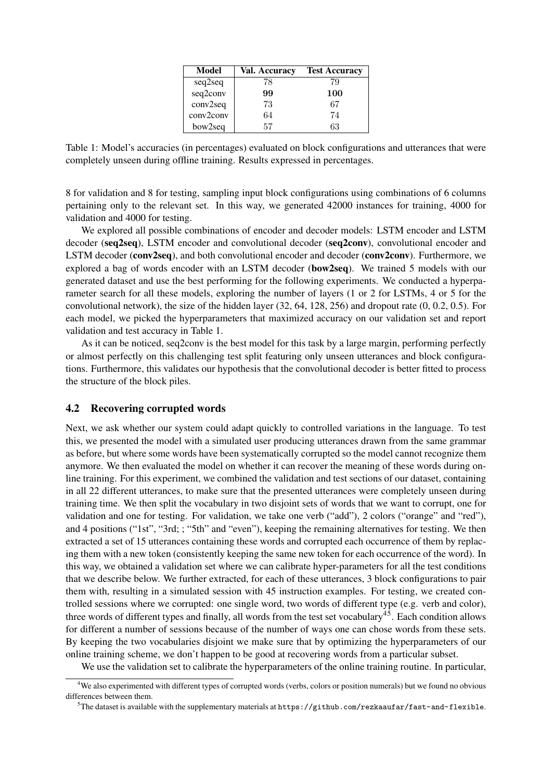| Model     | Val. Accuracy | <b>Test Accuracy</b> |
|-----------|---------------|----------------------|
| seq2seq   | 78            | 79                   |
| seq2conv  | 99            | 100                  |
| conv2seq  | 73            | 67                   |
| conv2conv | 64            | 74                   |
| bow2seq   | 57            | 63                   |

Table 1: Model's accuracies (in percentages) evaluated on block configurations and utterances that were completely unseen during offline training. Results expressed in percentages.

8 for validation and 8 for testing, sampling input block configurations using combinations of 6 columns pertaining only to the relevant set. In this way, we generated 42000 instances for training, 4000 for validation and 4000 for testing.

We explored all possible combinations of encoder and decoder models: LSTM encoder and LSTM decoder (seq2seq), LSTM encoder and convolutional decoder (seq2conv), convolutional encoder and LSTM decoder (conv2seq), and both convolutional encoder and decoder (conv2conv). Furthermore, we explored a bag of words encoder with an LSTM decoder (bow2seq). We trained 5 models with our generated dataset and use the best performing for the following experiments. We conducted a hyperparameter search for all these models, exploring the number of layers (1 or 2 for LSTMs, 4 or 5 for the convolutional network), the size of the hidden layer (32, 64, 128, 256) and dropout rate (0, 0.2, 0.5). For each model, we picked the hyperparameters that maximized accuracy on our validation set and report validation and test accuracy in Table 1.

As it can be noticed, seq2conv is the best model for this task by a large margin, performing perfectly or almost perfectly on this challenging test split featuring only unseen utterances and block configurations. Furthermore, this validates our hypothesis that the convolutional decoder is better fitted to process the structure of the block piles.

#### 4.2 Recovering corrupted words

Next, we ask whether our system could adapt quickly to controlled variations in the language. To test this, we presented the model with a simulated user producing utterances drawn from the same grammar as before, but where some words have been systematically corrupted so the model cannot recognize them anymore. We then evaluated the model on whether it can recover the meaning of these words during online training. For this experiment, we combined the validation and test sections of our dataset, containing in all 22 different utterances, to make sure that the presented utterances were completely unseen during training time. We then split the vocabulary in two disjoint sets of words that we want to corrupt, one for validation and one for testing. For validation, we take one verb ("add"), 2 colors ("orange" and "red"), and 4 positions ("1st", "3rd; ; "5th" and "even"), keeping the remaining alternatives for testing. We then extracted a set of 15 utterances containing these words and corrupted each occurrence of them by replacing them with a new token (consistently keeping the same new token for each occurrence of the word). In this way, we obtained a validation set where we can calibrate hyper-parameters for all the test conditions that we describe below. We further extracted, for each of these utterances, 3 block configurations to pair them with, resulting in a simulated session with 45 instruction examples. For testing, we created controlled sessions where we corrupted: one single word, two words of different type (e.g. verb and color), three words of different types and finally, all words from the test set vocabulary<sup>45</sup>. Each condition allows for different a number of sessions because of the number of ways one can chose words from these sets. By keeping the two vocabularies disjoint we make sure that by optimizing the hyperparameters of our online training scheme, we don't happen to be good at recovering words from a particular subset.

We use the validation set to calibrate the hyperparameters of the online training routine. In particular,

<sup>&</sup>lt;sup>4</sup>We also experimented with different types of corrupted words (verbs, colors or position numerals) but we found no obvious differences between them.

 $5$ The dataset is available with the supplementary materials at https://github.com/rezkaaufar/fast-and-flexible.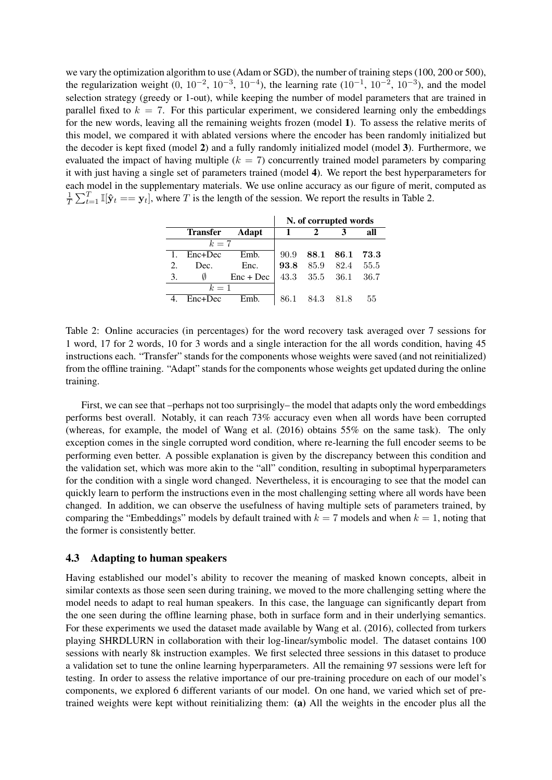we vary the optimization algorithm to use (Adam or SGD), the number of training steps (100, 200 or 500), the regularization weight  $(0, 10^{-2}, 10^{-3}, 10^{-4})$ , the learning rate  $(10^{-1}, 10^{-2}, 10^{-3})$ , and the model selection strategy (greedy or 1-out), while keeping the number of model parameters that are trained in parallel fixed to  $k = 7$ . For this particular experiment, we considered learning only the embeddings for the new words, leaving all the remaining weights frozen (model 1). To assess the relative merits of this model, we compared it with ablated versions where the encoder has been randomly initialized but the decoder is kept fixed (model 2) and a fully randomly initialized model (model 3). Furthermore, we evaluated the impact of having multiple  $(k = 7)$  concurrently trained model parameters by comparing it with just having a single set of parameters trained (model 4). We report the best hyperparameters for each model in the supplementary materials. We use online accuracy as our figure of merit, computed as 1  $\frac{1}{T} \sum_{t=1}^T \mathbb{I}[\hat{\mathbf{y}}_t = \mathbf{y}_t]$ , where T is the length of the session. We report the results in Table 2.

|       |          |             | N. of corrupted words |                |           |            |
|-------|----------|-------------|-----------------------|----------------|-----------|------------|
|       | Transfer | Adapt       | $\mathbf{1}$          |                |           | all        |
| $k=7$ |          |             |                       |                |           |            |
| 1.    | Enc+Dec  | Emb.        | 90.9                  |                | 88.1 86.1 | $\bf 73.3$ |
| 2.    | Dec.     | Enc.        |                       | 93.8 85.9      | - 82.4    | 55.5       |
| 3.    | Ø        | $Enc + Dec$ |                       | 43.3 35.5 36.1 |           | 36.7       |
| $k=1$ |          |             |                       |                |           |            |
|       | Enc+Dec  | Emb.        |                       | 86.1 84.3 81.8 |           | 55         |

Table 2: Online accuracies (in percentages) for the word recovery task averaged over 7 sessions for 1 word, 17 for 2 words, 10 for 3 words and a single interaction for the all words condition, having 45 instructions each. "Transfer" stands for the components whose weights were saved (and not reinitialized) from the offline training. "Adapt" stands for the components whose weights get updated during the online training.

First, we can see that –perhaps not too surprisingly– the model that adapts only the word embeddings performs best overall. Notably, it can reach 73% accuracy even when all words have been corrupted (whereas, for example, the model of Wang et al. (2016) obtains 55% on the same task). The only exception comes in the single corrupted word condition, where re-learning the full encoder seems to be performing even better. A possible explanation is given by the discrepancy between this condition and the validation set, which was more akin to the "all" condition, resulting in suboptimal hyperparameters for the condition with a single word changed. Nevertheless, it is encouraging to see that the model can quickly learn to perform the instructions even in the most challenging setting where all words have been changed. In addition, we can observe the usefulness of having multiple sets of parameters trained, by comparing the "Embeddings" models by default trained with  $k = 7$  models and when  $k = 1$ , noting that the former is consistently better.

#### 4.3 Adapting to human speakers

Having established our model's ability to recover the meaning of masked known concepts, albeit in similar contexts as those seen seen during training, we moved to the more challenging setting where the model needs to adapt to real human speakers. In this case, the language can significantly depart from the one seen during the offline learning phase, both in surface form and in their underlying semantics. For these experiments we used the dataset made available by Wang et al. (2016), collected from turkers playing SHRDLURN in collaboration with their log-linear/symbolic model. The dataset contains 100 sessions with nearly 8k instruction examples. We first selected three sessions in this dataset to produce a validation set to tune the online learning hyperparameters. All the remaining 97 sessions were left for testing. In order to assess the relative importance of our pre-training procedure on each of our model's components, we explored 6 different variants of our model. On one hand, we varied which set of pretrained weights were kept without reinitializing them: (a) All the weights in the encoder plus all the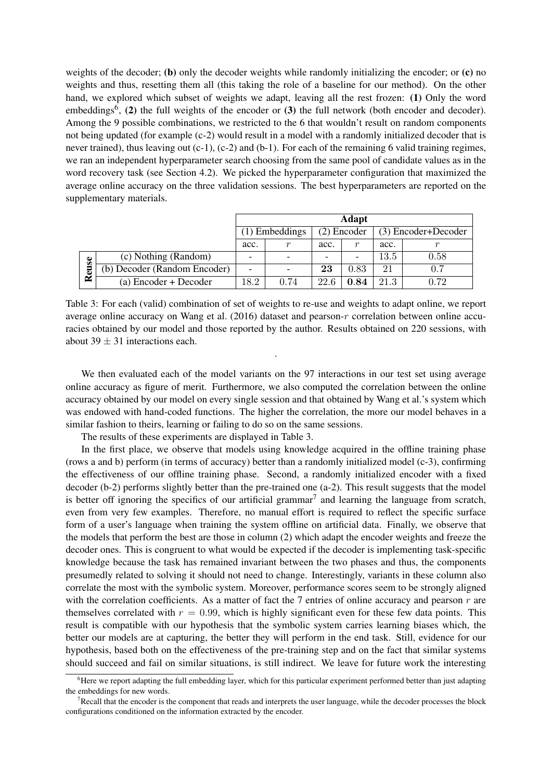weights of the decoder; (b) only the decoder weights while randomly initializing the encoder; or (c) no weights and thus, resetting them all (this taking the role of a baseline for our method). On the other hand, we explored which subset of weights we adapt, leaving all the rest frozen: (1) Only the word embeddings<sup>6</sup>, (2) the full weights of the encoder or (3) the full network (both encoder and decoder). Among the 9 possible combinations, we restricted to the 6 that wouldn't result on random components not being updated (for example (c-2) would result in a model with a randomly initialized decoder that is never trained), thus leaving out  $(c-1)$ ,  $(c-2)$  and  $(b-1)$ . For each of the remaining 6 valid training regimes, we ran an independent hyperparameter search choosing from the same pool of candidate values as in the word recovery task (see Section 4.2). We picked the hyperparameter configuration that maximized the average online accuracy on the three validation sessions. The best hyperparameters are reported on the supplementary materials.

|    |                              | Adapt |                |      |             |          |                     |  |
|----|------------------------------|-------|----------------|------|-------------|----------|---------------------|--|
|    |                              |       | (1) Embeddings |      | (2) Encoder |          | (3) Encoder+Decoder |  |
|    |                              | acc.  | r              | acc. | r           | acc.     |                     |  |
| Se | (c) Nothing (Random)         |       |                |      |             | $13.5\,$ | 0.58                |  |
| ≃  | (b) Decoder (Random Encoder) | -     |                | 23   | 0.83        | 21       | 0.7                 |  |
|    | (a) Encoder + Decoder        | 18.2  | 0.74           | 22.6 | 0.84        | 21.3     | 0.72                |  |

Table 3: For each (valid) combination of set of weights to re-use and weights to adapt online, we report average online accuracy on Wang et al.  $(2016)$  dataset and pearson-r correlation between online accuracies obtained by our model and those reported by the author. Results obtained on 220 sessions, with about 39  $\pm$  31 interactions each.

.

We then evaluated each of the model variants on the 97 interactions in our test set using average online accuracy as figure of merit. Furthermore, we also computed the correlation between the online accuracy obtained by our model on every single session and that obtained by Wang et al.'s system which was endowed with hand-coded functions. The higher the correlation, the more our model behaves in a similar fashion to theirs, learning or failing to do so on the same sessions.

The results of these experiments are displayed in Table 3.

In the first place, we observe that models using knowledge acquired in the offline training phase (rows a and b) perform (in terms of accuracy) better than a randomly initialized model (c-3), confirming the effectiveness of our offline training phase. Second, a randomly initialized encoder with a fixed decoder (b-2) performs slightly better than the pre-trained one (a-2). This result suggests that the model is better off ignoring the specifics of our artificial grammar<sup>7</sup> and learning the language from scratch, even from very few examples. Therefore, no manual effort is required to reflect the specific surface form of a user's language when training the system offline on artificial data. Finally, we observe that the models that perform the best are those in column (2) which adapt the encoder weights and freeze the decoder ones. This is congruent to what would be expected if the decoder is implementing task-specific knowledge because the task has remained invariant between the two phases and thus, the components presumedly related to solving it should not need to change. Interestingly, variants in these column also correlate the most with the symbolic system. Moreover, performance scores seem to be strongly aligned with the correlation coefficients. As a matter of fact the 7 entries of online accuracy and pearson  $r$  are themselves correlated with  $r = 0.99$ , which is highly significant even for these few data points. This result is compatible with our hypothesis that the symbolic system carries learning biases which, the better our models are at capturing, the better they will perform in the end task. Still, evidence for our hypothesis, based both on the effectiveness of the pre-training step and on the fact that similar systems should succeed and fail on similar situations, is still indirect. We leave for future work the interesting

 $6$ Here we report adapting the full embedding layer, which for this particular experiment performed better than just adapting the embeddings for new words.

 $7$ Recall that the encoder is the component that reads and interprets the user language, while the decoder processes the block configurations conditioned on the information extracted by the encoder.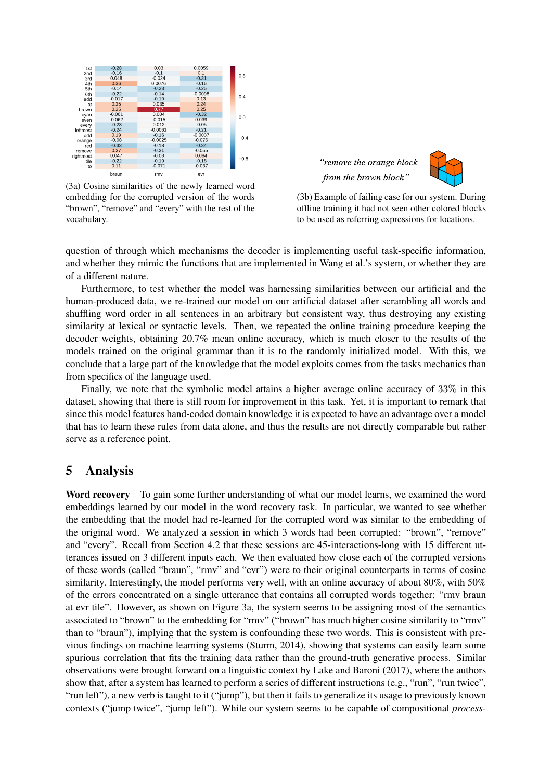

(3a) Cosine similarities of the newly learned word embedding for the corrupted version of the words "brown", "remove" and "every" with the rest of the vocabulary.





(3b) Example of failing case for our system. During offline training it had not seen other colored blocks to be used as referring expressions for locations.

question of through which mechanisms the decoder is implementing useful task-specific information, and whether they mimic the functions that are implemented in Wang et al.'s system, or whether they are of a different nature.

Furthermore, to test whether the model was harnessing similarities between our artificial and the human-produced data, we re-trained our model on our artificial dataset after scrambling all words and shuffling word order in all sentences in an arbitrary but consistent way, thus destroying any existing similarity at lexical or syntactic levels. Then, we repeated the online training procedure keeping the decoder weights, obtaining 20.7% mean online accuracy, which is much closer to the results of the models trained on the original grammar than it is to the randomly initialized model. With this, we conclude that a large part of the knowledge that the model exploits comes from the tasks mechanics than from specifics of the language used.

Finally, we note that the symbolic model attains a higher average online accuracy of 33% in this dataset, showing that there is still room for improvement in this task. Yet, it is important to remark that since this model features hand-coded domain knowledge it is expected to have an advantage over a model that has to learn these rules from data alone, and thus the results are not directly comparable but rather serve as a reference point.

### 5 Analysis

Word recovery To gain some further understanding of what our model learns, we examined the word embeddings learned by our model in the word recovery task. In particular, we wanted to see whether the embedding that the model had re-learned for the corrupted word was similar to the embedding of the original word. We analyzed a session in which 3 words had been corrupted: "brown", "remove" and "every". Recall from Section 4.2 that these sessions are 45-interactions-long with 15 different utterances issued on 3 different inputs each. We then evaluated how close each of the corrupted versions of these words (called "braun", "rmv" and "evr") were to their original counterparts in terms of cosine similarity. Interestingly, the model performs very well, with an online accuracy of about 80%, with 50% of the errors concentrated on a single utterance that contains all corrupted words together: "rmv braun at evr tile". However, as shown on Figure 3a, the system seems to be assigning most of the semantics associated to "brown" to the embedding for "rmv" ("brown" has much higher cosine similarity to "rmv" than to "braun"), implying that the system is confounding these two words. This is consistent with previous findings on machine learning systems (Sturm, 2014), showing that systems can easily learn some spurious correlation that fits the training data rather than the ground-truth generative process. Similar observations were brought forward on a linguistic context by Lake and Baroni (2017), where the authors show that, after a system has learned to perform a series of different instructions (e.g., "run", "run twice", "run left"), a new verb is taught to it ("jump"), but then it fails to generalize its usage to previously known contexts ("jump twice", "jump left"). While our system seems to be capable of compositional *process-*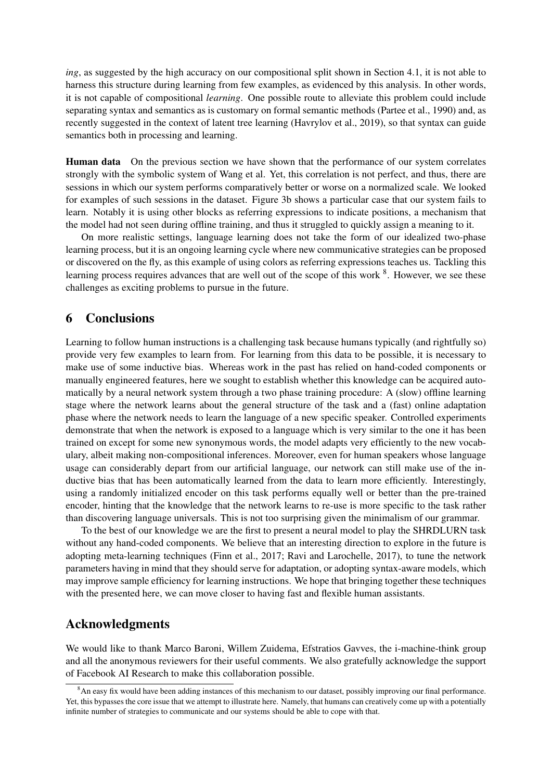*ing*, as suggested by the high accuracy on our compositional split shown in Section 4.1, it is not able to harness this structure during learning from few examples, as evidenced by this analysis. In other words, it is not capable of compositional *learning*. One possible route to alleviate this problem could include separating syntax and semantics as is customary on formal semantic methods (Partee et al., 1990) and, as recently suggested in the context of latent tree learning (Havrylov et al., 2019), so that syntax can guide semantics both in processing and learning.

Human data On the previous section we have shown that the performance of our system correlates strongly with the symbolic system of Wang et al. Yet, this correlation is not perfect, and thus, there are sessions in which our system performs comparatively better or worse on a normalized scale. We looked for examples of such sessions in the dataset. Figure 3b shows a particular case that our system fails to learn. Notably it is using other blocks as referring expressions to indicate positions, a mechanism that the model had not seen during offline training, and thus it struggled to quickly assign a meaning to it.

On more realistic settings, language learning does not take the form of our idealized two-phase learning process, but it is an ongoing learning cycle where new communicative strategies can be proposed or discovered on the fly, as this example of using colors as referring expressions teaches us. Tackling this learning process requires advances that are well out of the scope of this work <sup>8</sup>. However, we see these challenges as exciting problems to pursue in the future.

### 6 Conclusions

Learning to follow human instructions is a challenging task because humans typically (and rightfully so) provide very few examples to learn from. For learning from this data to be possible, it is necessary to make use of some inductive bias. Whereas work in the past has relied on hand-coded components or manually engineered features, here we sought to establish whether this knowledge can be acquired automatically by a neural network system through a two phase training procedure: A (slow) offline learning stage where the network learns about the general structure of the task and a (fast) online adaptation phase where the network needs to learn the language of a new specific speaker. Controlled experiments demonstrate that when the network is exposed to a language which is very similar to the one it has been trained on except for some new synonymous words, the model adapts very efficiently to the new vocabulary, albeit making non-compositional inferences. Moreover, even for human speakers whose language usage can considerably depart from our artificial language, our network can still make use of the inductive bias that has been automatically learned from the data to learn more efficiently. Interestingly, using a randomly initialized encoder on this task performs equally well or better than the pre-trained encoder, hinting that the knowledge that the network learns to re-use is more specific to the task rather than discovering language universals. This is not too surprising given the minimalism of our grammar.

To the best of our knowledge we are the first to present a neural model to play the SHRDLURN task without any hand-coded components. We believe that an interesting direction to explore in the future is adopting meta-learning techniques (Finn et al., 2017; Ravi and Larochelle, 2017), to tune the network parameters having in mind that they should serve for adaptation, or adopting syntax-aware models, which may improve sample efficiency for learning instructions. We hope that bringing together these techniques with the presented here, we can move closer to having fast and flexible human assistants.

### Acknowledgments

We would like to thank Marco Baroni, Willem Zuidema, Efstratios Gavves, the i-machine-think group and all the anonymous reviewers for their useful comments. We also gratefully acknowledge the support of Facebook AI Research to make this collaboration possible.

<sup>&</sup>lt;sup>8</sup>An easy fix would have been adding instances of this mechanism to our dataset, possibly improving our final performance. Yet, this bypasses the core issue that we attempt to illustrate here. Namely, that humans can creatively come up with a potentially infinite number of strategies to communicate and our systems should be able to cope with that.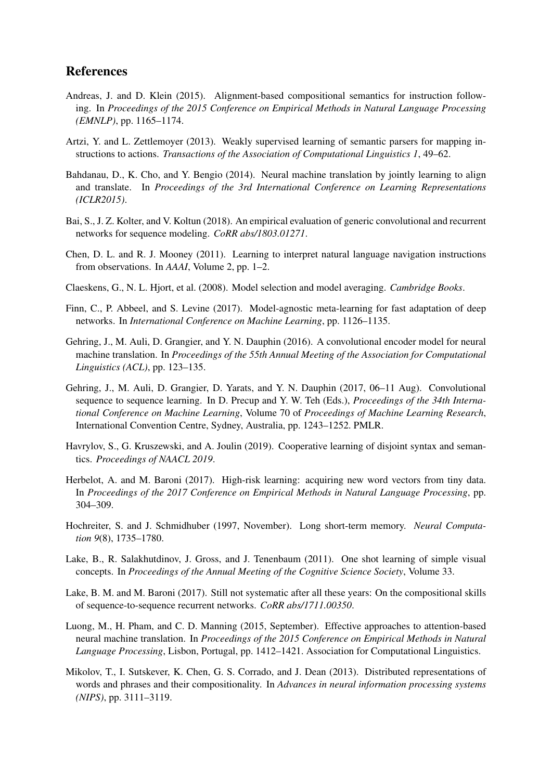## References

- Andreas, J. and D. Klein (2015). Alignment-based compositional semantics for instruction following. In *Proceedings of the 2015 Conference on Empirical Methods in Natural Language Processing (EMNLP)*, pp. 1165–1174.
- Artzi, Y. and L. Zettlemoyer (2013). Weakly supervised learning of semantic parsers for mapping instructions to actions. *Transactions of the Association of Computational Linguistics 1*, 49–62.
- Bahdanau, D., K. Cho, and Y. Bengio (2014). Neural machine translation by jointly learning to align and translate. In *Proceedings of the 3rd International Conference on Learning Representations (ICLR2015)*.
- Bai, S., J. Z. Kolter, and V. Koltun (2018). An empirical evaluation of generic convolutional and recurrent networks for sequence modeling. *CoRR abs/1803.01271*.
- Chen, D. L. and R. J. Mooney (2011). Learning to interpret natural language navigation instructions from observations. In *AAAI*, Volume 2, pp. 1–2.
- Claeskens, G., N. L. Hjort, et al. (2008). Model selection and model averaging. *Cambridge Books*.
- Finn, C., P. Abbeel, and S. Levine (2017). Model-agnostic meta-learning for fast adaptation of deep networks. In *International Conference on Machine Learning*, pp. 1126–1135.
- Gehring, J., M. Auli, D. Grangier, and Y. N. Dauphin (2016). A convolutional encoder model for neural machine translation. In *Proceedings of the 55th Annual Meeting of the Association for Computational Linguistics (ACL)*, pp. 123–135.
- Gehring, J., M. Auli, D. Grangier, D. Yarats, and Y. N. Dauphin (2017, 06–11 Aug). Convolutional sequence to sequence learning. In D. Precup and Y. W. Teh (Eds.), *Proceedings of the 34th International Conference on Machine Learning*, Volume 70 of *Proceedings of Machine Learning Research*, International Convention Centre, Sydney, Australia, pp. 1243–1252. PMLR.
- Havrylov, S., G. Kruszewski, and A. Joulin (2019). Cooperative learning of disjoint syntax and semantics. *Proceedings of NAACL 2019*.
- Herbelot, A. and M. Baroni (2017). High-risk learning: acquiring new word vectors from tiny data. In *Proceedings of the 2017 Conference on Empirical Methods in Natural Language Processing*, pp. 304–309.
- Hochreiter, S. and J. Schmidhuber (1997, November). Long short-term memory. *Neural Computation 9*(8), 1735–1780.
- Lake, B., R. Salakhutdinov, J. Gross, and J. Tenenbaum (2011). One shot learning of simple visual concepts. In *Proceedings of the Annual Meeting of the Cognitive Science Society*, Volume 33.
- Lake, B. M. and M. Baroni (2017). Still not systematic after all these years: On the compositional skills of sequence-to-sequence recurrent networks. *CoRR abs/1711.00350*.
- Luong, M., H. Pham, and C. D. Manning (2015, September). Effective approaches to attention-based neural machine translation. In *Proceedings of the 2015 Conference on Empirical Methods in Natural Language Processing*, Lisbon, Portugal, pp. 1412–1421. Association for Computational Linguistics.
- Mikolov, T., I. Sutskever, K. Chen, G. S. Corrado, and J. Dean (2013). Distributed representations of words and phrases and their compositionality. In *Advances in neural information processing systems (NIPS)*, pp. 3111–3119.